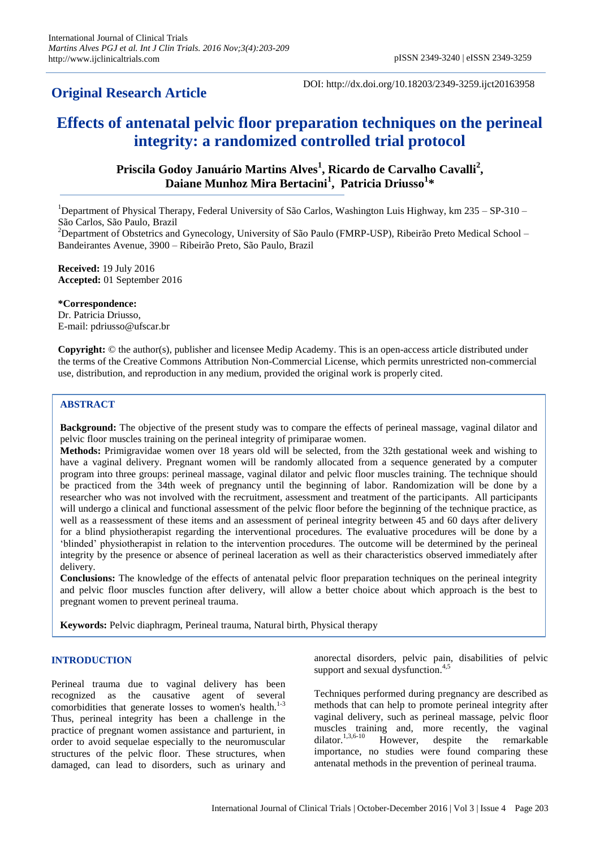# **Original Research Article**

DOI: http://dx.doi.org/10.18203/2349-3259.ijct20163958

# **Effects of antenatal pelvic floor preparation techniques on the perineal integrity: a randomized controlled trial protocol**

## **Priscila Godoy Januário Martins Alves<sup>1</sup> , Ricardo de Carvalho Cavalli<sup>2</sup> , Daiane Munhoz Mira Bertacini<sup>1</sup> , Patricia Driusso<sup>1</sup> \***

<sup>1</sup>Department of Physical Therapy, Federal University of São Carlos, Washington Luis Highway, km  $235 - SP-310 -$ São Carlos, São Paulo, Brazil

<sup>2</sup>Department of Obstetrics and Gynecology, University of São Paulo (FMRP-USP), Ribeirão Preto Medical School – Bandeirantes Avenue, 3900 – Ribeirão Preto, São Paulo, Brazil

**Received:** 19 July 2016 **Accepted:** 01 September 2016

**\*Correspondence:** Dr. Patricia Driusso, E-mail: pdriusso@ufscar.br

**Copyright:** © the author(s), publisher and licensee Medip Academy. This is an open-access article distributed under the terms of the Creative Commons Attribution Non-Commercial License, which permits unrestricted non-commercial use, distribution, and reproduction in any medium, provided the original work is properly cited.

### **ABSTRACT**

**Background:** The objective of the present study was to compare the effects of perineal massage, vaginal dilator and pelvic floor muscles training on the perineal integrity of primiparae women.

**Methods:** Primigravidae women over 18 years old will be selected, from the 32th gestational week and wishing to have a vaginal delivery. Pregnant women will be randomly allocated from a sequence generated by a computer program into three groups: perineal massage, vaginal dilator and pelvic floor muscles training. The technique should be practiced from the 34th week of pregnancy until the beginning of labor. Randomization will be done by a researcher who was not involved with the recruitment, assessment and treatment of the participants. All participants will undergo a clinical and functional assessment of the pelvic floor before the beginning of the technique practice, as well as a reassessment of these items and an assessment of perineal integrity between 45 and 60 days after delivery for a blind physiotherapist regarding the interventional procedures. The evaluative procedures will be done by a 'blinded' physiotherapist in relation to the intervention procedures. The outcome will be determined by the perineal integrity by the presence or absence of perineal laceration as well as their characteristics observed immediately after delivery.

**Conclusions:** The knowledge of the effects of antenatal pelvic floor preparation techniques on the perineal integrity and pelvic floor muscles function after delivery, will allow a better choice about which approach is the best to pregnant women to prevent perineal trauma.

**Keywords:** Pelvic diaphragm, Perineal trauma, Natural birth, Physical therapy

### **INTRODUCTION**

Perineal trauma due to vaginal delivery has been recognized as the causative agent of several comorbidities that generate losses to women's health.<sup>1-3</sup> Thus, perineal integrity has been a challenge in the practice of pregnant women assistance and parturient, in order to avoid sequelae especially to the neuromuscular structures of the pelvic floor. These structures, when damaged, can lead to disorders, such as urinary and anorectal disorders, pelvic pain, disabilities of pelvic support and sexual dysfunction.<sup>4,5</sup>

Techniques performed during pregnancy are described as methods that can help to promote perineal integrity after vaginal delivery, such as perineal massage, pelvic floor muscles training and, more recently, the vaginal dilator.<sup>1,3,6-10</sup> However, despite the remarkable importance, no studies were found comparing these antenatal methods in the prevention of perineal trauma.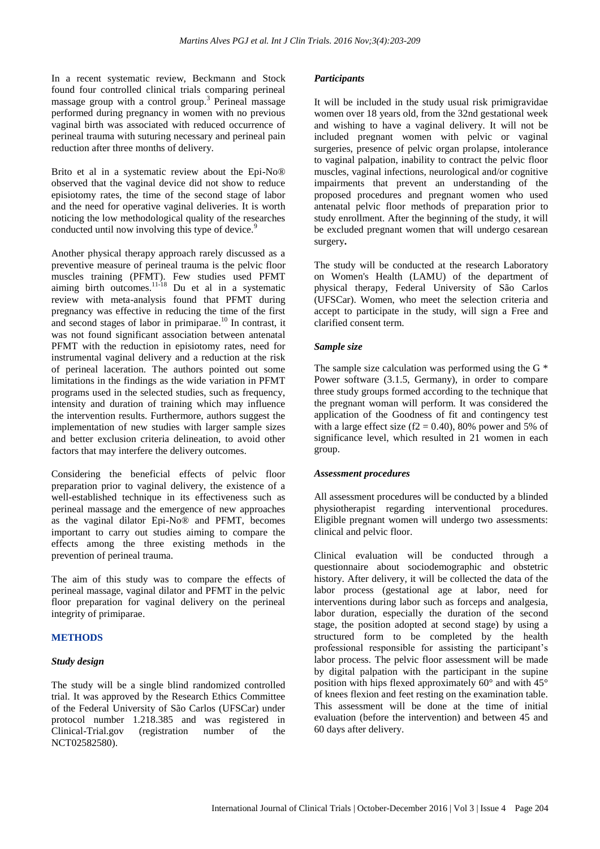In a recent systematic review, Beckmann and Stock found four controlled clinical trials comparing perineal massage group with a control group.<sup>3</sup> Perineal massage performed during pregnancy in women with no previous vaginal birth was associated with reduced occurrence of perineal trauma with suturing necessary and perineal pain reduction after three months of delivery.

Brito et al in a systematic review about the Epi-No® observed that the vaginal device did not show to reduce episiotomy rates, the time of the second stage of labor and the need for operative vaginal deliveries. It is worth noticing the low methodological quality of the researches conducted until now involving this type of device.<sup>9</sup>

Another physical therapy approach rarely discussed as a preventive measure of perineal trauma is the pelvic floor muscles training (PFMT). Few studies used PFMT aiming birth outcomes. $11-18$  Du et al in a systematic review with meta-analysis found that PFMT during pregnancy was effective in reducing the time of the first and second stages of labor in primiparae.<sup>10</sup> In contrast, it was not found significant association between antenatal PFMT with the reduction in episiotomy rates, need for instrumental vaginal delivery and a reduction at the risk of perineal laceration. The authors pointed out some limitations in the findings as the wide variation in PFMT programs used in the selected studies, such as frequency, intensity and duration of training which may influence the intervention results. Furthermore, authors suggest the implementation of new studies with larger sample sizes and better exclusion criteria delineation, to avoid other factors that may interfere the delivery outcomes.

Considering the beneficial effects of pelvic floor preparation prior to vaginal delivery, the existence of a well-established technique in its effectiveness such as perineal massage and the emergence of new approaches as the vaginal dilator Epi-No® and PFMT, becomes important to carry out studies aiming to compare the effects among the three existing methods in the prevention of perineal trauma.

The aim of this study was to compare the effects of perineal massage, vaginal dilator and PFMT in the pelvic floor preparation for vaginal delivery on the perineal integrity of primiparae.

### **METHODS**

### *Study design*

The study will be a single blind randomized controlled trial. It was approved by the Research Ethics Committee of the Federal University of São Carlos (UFSCar) under protocol number 1.218.385 and was registered in Clinical-Trial.gov (registration number of the NCT02582580).

### *Participants*

It will be included in the study usual risk primigravidae women over 18 years old, from the 32nd gestational week and wishing to have a vaginal delivery. It will not be included pregnant women with pelvic or vaginal surgeries, presence of pelvic organ prolapse, intolerance to vaginal palpation, inability to contract the pelvic floor muscles, vaginal infections, neurological and/or cognitive impairments that prevent an understanding of the proposed procedures and pregnant women who used antenatal pelvic floor methods of preparation prior to study enrollment. After the beginning of the study, it will be excluded pregnant women that will undergo cesarean surgery**.**

The study will be conducted at the research Laboratory on Women's Health (LAMU) of the department of physical therapy, Federal University of São Carlos (UFSCar). Women, who meet the selection criteria and accept to participate in the study, will sign a Free and clarified consent term.

### *Sample size*

The sample size calculation was performed using the G \* Power software (3.1.5, Germany), in order to compare three study groups formed according to the technique that the pregnant woman will perform. It was considered the application of the Goodness of fit and contingency test with a large effect size  $(f2 = 0.40)$ , 80% power and 5% of significance level, which resulted in 21 women in each group.

### *Assessment procedures*

All assessment procedures will be conducted by a blinded physiotherapist regarding interventional procedures. Eligible pregnant women will undergo two assessments: clinical and pelvic floor.

Clinical evaluation will be conducted through a questionnaire about sociodemographic and obstetric history. After delivery, it will be collected the data of the labor process (gestational age at labor, need for interventions during labor such as forceps and analgesia, labor duration, especially the duration of the second stage, the position adopted at second stage) by using a structured form to be completed by the health professional responsible for assisting the participant's labor process. The pelvic floor assessment will be made by digital palpation with the participant in the supine position with hips flexed approximately 60° and with 45° of knees flexion and feet resting on the examination table. This assessment will be done at the time of initial evaluation (before the intervention) and between 45 and 60 days after delivery.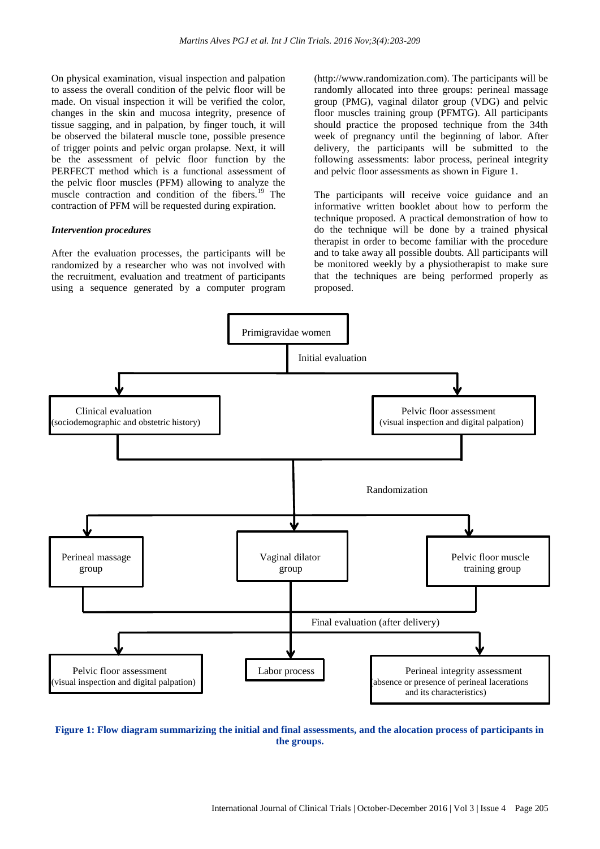On physical examination, visual inspection and palpation to assess the overall condition of the pelvic floor will be made. On visual inspection it will be verified the color, changes in the skin and mucosa integrity, presence of tissue sagging, and in palpation, by finger touch, it will be observed the bilateral muscle tone, possible presence of trigger points and pelvic organ prolapse. Next, it will be the assessment of pelvic floor function by the PERFECT method which is a functional assessment of the pelvic floor muscles (PFM) allowing to analyze the muscle contraction and condition of the fibers.<sup>19</sup> The contraction of PFM will be requested during expiration.

#### *Intervention procedures*

After the evaluation processes, the participants will be randomized by a researcher who was not involved with the recruitment, evaluation and treatment of participants using a sequence generated by a computer program (http://www.randomization.com). The participants will be randomly allocated into three groups: perineal massage group (PMG), vaginal dilator group (VDG) and pelvic floor muscles training group (PFMTG). All participants should practice the proposed technique from the 34th week of pregnancy until the beginning of labor. After delivery, the participants will be submitted to the following assessments: labor process, perineal integrity and pelvic floor assessments as shown in Figure 1.

The participants will receive voice guidance and an informative written booklet about how to perform the technique proposed. A practical demonstration of how to do the technique will be done by a trained physical therapist in order to become familiar with the procedure and to take away all possible doubts. All participants will be monitored weekly by a physiotherapist to make sure that the techniques are being performed properly as proposed.



**Figure 1: Flow diagram summarizing the initial and final assessments, and the alocation process of participants in the groups.**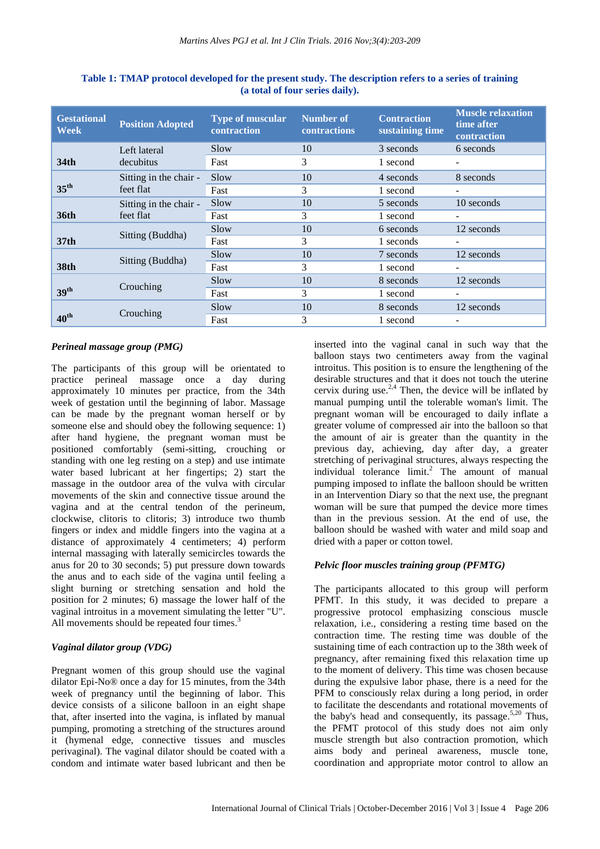| <b>Gestational</b><br>Week | <b>Position Adopted</b>             | <b>Type of muscular</b><br>contraction | <b>Number of</b><br><b>contractions</b> | <b>Contraction</b><br>sustaining time | <b>Muscle relaxation</b><br>time after<br>contraction |
|----------------------------|-------------------------------------|----------------------------------------|-----------------------------------------|---------------------------------------|-------------------------------------------------------|
|                            | Left lateral<br>decubitus           | Slow                                   | 10                                      | 3 seconds                             | 6 seconds                                             |
| 34 <sub>th</sub>           |                                     | Fast                                   | 3                                       | 1 second                              | ٠                                                     |
| $35^{\text{th}}$           | Sitting in the chair -<br>feet flat | Slow                                   | 10                                      | 4 seconds                             | 8 seconds                                             |
|                            |                                     | Fast                                   | 3                                       | 1 second                              |                                                       |
|                            | Sitting in the chair -<br>feet flat | Slow                                   | 10                                      | 5 seconds                             | 10 seconds                                            |
| <b>36th</b>                |                                     | Fast                                   | 3                                       | 1 second                              |                                                       |
|                            | Sitting (Buddha)                    | Slow                                   | 10                                      | 6 seconds                             | 12 seconds                                            |
| 37 <sub>th</sub>           |                                     | Fast                                   | 3                                       | 1 seconds                             | ٠                                                     |
|                            | Sitting (Buddha)                    | Slow                                   | 10                                      | 7 seconds                             | 12 seconds                                            |
| 38th                       |                                     | Fast                                   | 3                                       | 1 second                              |                                                       |
|                            | Crouching                           | Slow                                   | 10                                      | 8 seconds                             | 12 seconds                                            |
| 39 <sup>th</sup>           |                                     | Fast                                   | 3                                       | 1 second                              |                                                       |
|                            | Crouching                           | Slow                                   | 10                                      | 8 seconds                             | 12 seconds                                            |
| $40^{\text{th}}$           |                                     | Fast                                   | 3                                       | 1 second                              |                                                       |

**Table 1: TMAP protocol developed for the present study. The description refers to a series of training (a total of four series daily).**

### *Perineal massage group (PMG)*

The participants of this group will be orientated to practice perineal massage once a day during approximately 10 minutes per practice, from the 34th week of gestation until the beginning of labor. Massage can be made by the pregnant woman herself or by someone else and should obey the following sequence: 1) after hand hygiene, the pregnant woman must be positioned comfortably (semi-sitting, crouching or standing with one leg resting on a step) and use intimate water based lubricant at her fingertips; 2) start the massage in the outdoor area of the vulva with circular movements of the skin and connective tissue around the vagina and at the central tendon of the perineum, clockwise, clitoris to clitoris; 3) introduce two thumb fingers or index and middle fingers into the vagina at a distance of approximately 4 centimeters; 4) perform internal massaging with laterally semicircles towards the anus for 20 to 30 seconds; 5) put pressure down towards the anus and to each side of the vagina until feeling a slight burning or stretching sensation and hold the position for 2 minutes; 6) massage the lower half of the vaginal introitus in a movement simulating the letter "U". All movements should be repeated four times.<sup>3</sup>

### *Vaginal dilator group (VDG)*

Pregnant women of this group should use the vaginal dilator Epi-No® once a day for 15 minutes, from the 34th week of pregnancy until the beginning of labor. This device consists of a silicone balloon in an eight shape that, after inserted into the vagina, is inflated by manual pumping, promoting a stretching of the structures around it (hymenal edge, connective tissues and muscles perivaginal). The vaginal dilator should be coated with a condom and intimate water based lubricant and then be inserted into the vaginal canal in such way that the balloon stays two centimeters away from the vaginal introitus. This position is to ensure the lengthening of the desirable structures and that it does not touch the uterine cervix during use.<sup>2,4</sup> Then, the device will be inflated by manual pumping until the tolerable woman's limit. The pregnant woman will be encouraged to daily inflate a greater volume of compressed air into the balloon so that the amount of air is greater than the quantity in the previous day, achieving, day after day, a greater stretching of perivaginal structures, always respecting the individual tolerance limit. <sup>2</sup> The amount of manual pumping imposed to inflate the balloon should be written in an Intervention Diary so that the next use, the pregnant woman will be sure that pumped the device more times than in the previous session. At the end of use, the balloon should be washed with water and mild soap and dried with a paper or cotton towel.

### *Pelvic floor muscles training group (PFMTG)*

The participants allocated to this group will perform PFMT. In this study, it was decided to prepare a progressive protocol emphasizing conscious muscle relaxation, i.e., considering a resting time based on the contraction time. The resting time was double of the sustaining time of each contraction up to the 38th week of pregnancy, after remaining fixed this relaxation time up to the moment of delivery. This time was chosen because during the expulsive labor phase, there is a need for the PFM to consciously relax during a long period, in order to facilitate the descendants and rotational movements of the baby's head and consequently, its passage.<sup>5,20</sup> Thus, the PFMT protocol of this study does not aim only muscle strength but also contraction promotion, which aims body and perineal awareness, muscle tone, coordination and appropriate motor control to allow an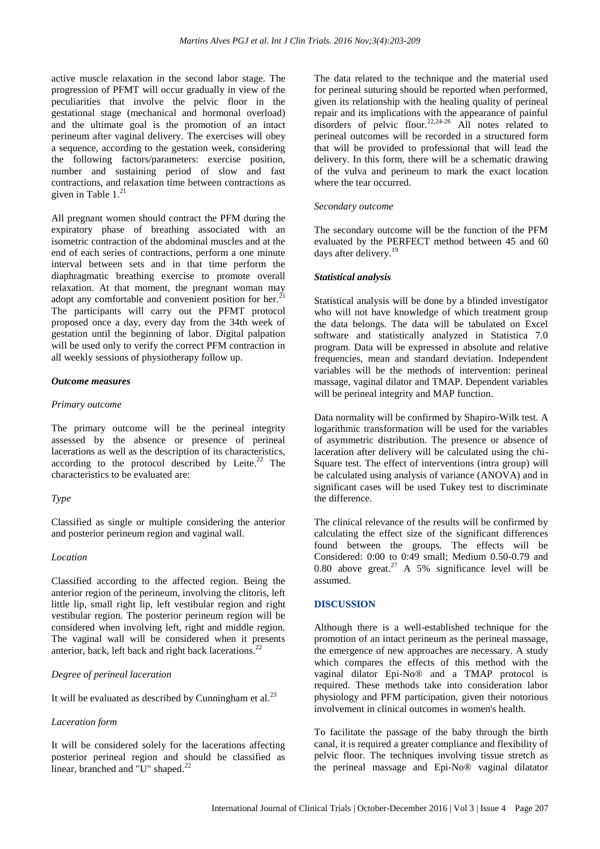active muscle relaxation in the second labor stage. The progression of PFMT will occur gradually in view of the peculiarities that involve the pelvic floor in the gestational stage (mechanical and hormonal overload) and the ultimate goal is the promotion of an intact perineum after vaginal delivery. The exercises will obey a sequence, according to the gestation week, considering the following factors/parameters: exercise position, number and sustaining period of slow and fast contractions, and relaxation time between contractions as given in Table 1. 21

All pregnant women should contract the PFM during the expiratory phase of breathing associated with an isometric contraction of the abdominal muscles and at the end of each series of contractions, perform a one minute interval between sets and in that time perform the diaphragmatic breathing exercise to promote overall relaxation. At that moment, the pregnant woman may adopt any comfortable and convenient position for her. $^{21}$ The participants will carry out the PFMT protocol proposed once a day, every day from the 34th week of gestation until the beginning of labor. Digital palpation will be used only to verify the correct PFM contraction in all weekly sessions of physiotherapy follow up.

#### *Outcome measures*

#### *Primary outcome*

The primary outcome will be the perineal integrity assessed by the absence or presence of perineal lacerations as well as the description of its characteristics, according to the protocol described by Leite. <sup>22</sup> The characteristics to be evaluated are:

### *Type*

Classified as single or multiple considering the anterior and posterior perineum region and vaginal wall.

#### *Location*

Classified according to the affected region. Being the anterior region of the perineum, involving the clitoris, left little lip, small right lip, left vestibular region and right vestibular region. The posterior perineum region will be considered when involving left, right and middle region. The vaginal wall will be considered when it presents anterior, back, left back and right back lacerations.<sup>22</sup>

#### *Degree of perineal laceration*

It will be evaluated as described by Cunningham et al. $^{23}$ 

#### *Laceration form*

It will be considered solely for the lacerations affecting posterior perineal region and should be classified as linear, branched and "U" shaped.<sup>22</sup>

The data related to the technique and the material used for perineal suturing should be reported when performed, given its relationship with the healing quality of perineal repair and its implications with the appearance of painful disorders of pelvic floor.<sup>22,24-26</sup> All notes related to perineal outcomes will be recorded in a structured form that will be provided to professional that will lead the delivery. In this form, there will be a schematic drawing of the vulva and perineum to mark the exact location where the tear occurred.

#### *Secondary outcome*

The secondary outcome will be the function of the PFM evaluated by the PERFECT method between 45 and 60 days after delivery.<sup>19</sup>

#### *Statistical analysis*

Statistical analysis will be done by a blinded investigator who will not have knowledge of which treatment group the data belongs. The data will be tabulated on Excel software and statistically analyzed in Statistica 7.0 program. Data will be expressed in absolute and relative frequencies, mean and standard deviation. Independent variables will be the methods of intervention: perineal massage, vaginal dilator and TMAP. Dependent variables will be perineal integrity and MAP function.

Data normality will be confirmed by Shapiro-Wilk test. A logarithmic transformation will be used for the variables of asymmetric distribution. The presence or absence of laceration after delivery will be calculated using the chi-Square test. The effect of interventions (intra group) will be calculated using analysis of variance (ANOVA) and in significant cases will be used Tukey test to discriminate the difference.

The clinical relevance of the results will be confirmed by calculating the effect size of the significant differences found between the groups. The effects will be Considered: 0:00 to 0:49 small; Medium 0.50-0.79 and 0.80 above great.<sup>27</sup> A 5% significance level will be assumed.

### **DISCUSSION**

Although there is a well-established technique for the promotion of an intact perineum as the perineal massage, the emergence of new approaches are necessary. A study which compares the effects of this method with the vaginal dilator Epi-No® and a TMAP protocol is required. These methods take into consideration labor physiology and PFM participation, given their notorious involvement in clinical outcomes in women's health.

To facilitate the passage of the baby through the birth canal, it is required a greater compliance and flexibility of pelvic floor. The techniques involving tissue stretch as the perineal massage and Epi-No® vaginal dilatator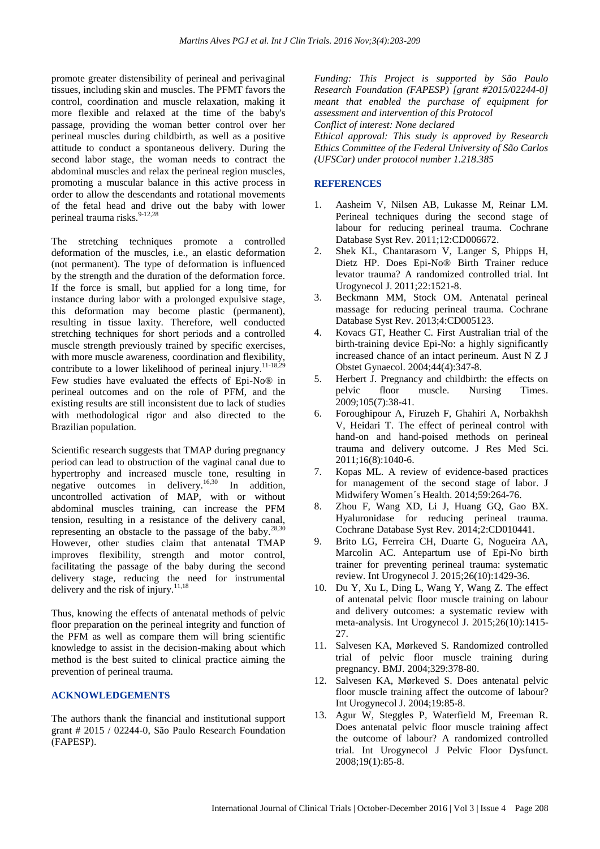promote greater distensibility of perineal and perivaginal tissues, including skin and muscles. The PFMT favors the control, coordination and muscle relaxation, making it more flexible and relaxed at the time of the baby's passage, providing the woman better control over her perineal muscles during childbirth, as well as a positive attitude to conduct a spontaneous delivery. During the second labor stage, the woman needs to contract the abdominal muscles and relax the perineal region muscles, promoting a muscular balance in this active process in order to allow the descendants and rotational movements of the fetal head and drive out the baby with lower perineal trauma risks.<sup>9-12,28</sup>

The stretching techniques promote a controlled deformation of the muscles, i.e., an elastic deformation (not permanent). The type of deformation is influenced by the strength and the duration of the deformation force. If the force is small, but applied for a long time, for instance during labor with a prolonged expulsive stage, this deformation may become plastic (permanent), resulting in tissue laxity. Therefore, well conducted stretching techniques for short periods and a controlled muscle strength previously trained by specific exercises, with more muscle awareness, coordination and flexibility, contribute to a lower likelihood of perineal injury.<sup>11-18,29</sup> Few studies have evaluated the effects of Epi-No® in perineal outcomes and on the role of PFM, and the existing results are still inconsistent due to lack of studies with methodological rigor and also directed to the Brazilian population.

Scientific research suggests that TMAP during pregnancy period can lead to obstruction of the vaginal canal due to hypertrophy and increased muscle tone, resulting in negative outcomes in delivery. 16,30 In addition, uncontrolled activation of MAP, with or without abdominal muscles training, can increase the PFM tension, resulting in a resistance of the delivery canal, representing an obstacle to the passage of the baby.<sup>28,30</sup> However, other studies claim that antenatal TMAP improves flexibility, strength and motor control, facilitating the passage of the baby during the second delivery stage, reducing the need for instrumental delivery and the risk of injury. 11,18

Thus, knowing the effects of antenatal methods of pelvic floor preparation on the perineal integrity and function of the PFM as well as compare them will bring scientific knowledge to assist in the decision-making about which method is the best suited to clinical practice aiming the prevention of perineal trauma.

#### **ACKNOWLEDGEMENTS**

The authors thank the financial and institutional support grant # 2015 / 02244-0, São Paulo Research Foundation (FAPESP).

*Funding: This Project is supported by São Paulo Research Foundation (FAPESP) [grant #2015/02244-0] meant that enabled the purchase of equipment for assessment and intervention of this Protocol Conflict of interest: None declared*

*Ethical approval: This study is approved by Research Ethics Committee of the Federal University of São Carlos (UFSCar) under protocol number 1.218.385*

### **REFERENCES**

- 1. Aasheim V, Nilsen AB, Lukasse M, Reinar LM. Perineal techniques during the second stage of labour for reducing perineal trauma. Cochrane Database Syst Rev. 2011;12:CD006672.
- 2. Shek KL, Chantarasorn V, Langer S, Phipps H, Dietz HP. Does Epi-No® Birth Trainer reduce levator trauma? A randomized controlled trial. Int Urogynecol J. 2011;22:1521-8.
- 3. Beckmann MM, Stock OM. Antenatal perineal massage for reducing perineal trauma. Cochrane Database Syst Rev. 2013;4:CD005123.
- 4. Kovacs GT, Heather C. First Australian trial of the birth-training device Epi-No: a highly significantly increased chance of an intact perineum. Aust N Z J Obstet Gynaecol. 2004;44(4):347-8.
- 5. Herbert J. Pregnancy and childbirth: the effects on pelvic floor muscle. Nursing Times. 2009;105(7):38-41.
- 6. Foroughipour A, Firuzeh F, Ghahiri A, Norbakhsh V, Heidari T. The effect of perineal control with hand-on and hand-poised methods on perineal trauma and delivery outcome. J Res Med Sci. 2011;16(8):1040-6.
- 7. Kopas ML. A review of evidence-based practices for management of the second stage of labor. J Midwifery Women´s Health. 2014;59:264-76.
- 8. Zhou F, Wang XD, Li J, Huang GQ, Gao BX. Hyaluronidase for reducing perineal trauma. Cochrane Database Syst Rev. 2014;2:CD010441.
- 9. Brito LG, Ferreira CH, Duarte G, Nogueira AA, Marcolin AC. Antepartum use of Epi-No birth trainer for preventing perineal trauma: systematic review. Int Urogynecol J. 2015;26(10):1429-36.
- 10. Du Y, Xu L, Ding L, Wang Y, Wang Z. The effect of antenatal pelvic floor muscle training on labour and delivery outcomes: a systematic review with meta-analysis. Int Urogynecol J. 2015;26(10):1415- 27.
- 11. Salvesen KA, Mørkeved S. Randomized controlled trial of pelvic floor muscle training during pregnancy. BMJ. 2004;329:378-80.
- 12. Salvesen KA, Mørkeved S. Does antenatal pelvic floor muscle training affect the outcome of labour? Int Urogynecol J. 2004;19:85-8.
- 13. Agur W, Steggles P, Waterfield M, Freeman R. Does antenatal pelvic floor muscle training affect the outcome of labour? A randomized controlled trial. Int Urogynecol J Pelvic Floor Dysfunct. 2008;19(1):85-8.